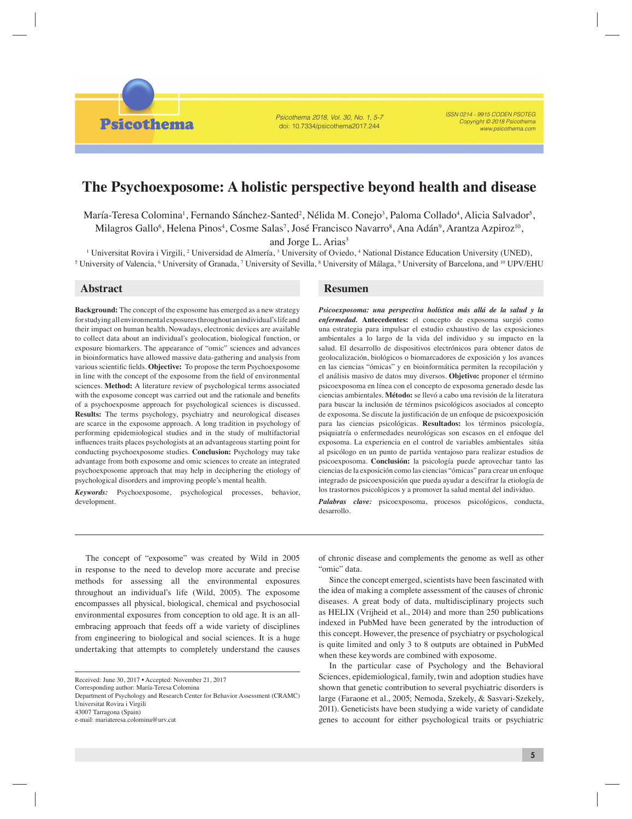Psicothema 2018, Vol. 30, No. 1, 5-7 doi: 10.7334/psicothema2017.244

ISSN 0214 - 9915 CODEN PSOTEG Copyright © 2018 Psicothema www.psicothema.com

## **The Psychoexposome: A holistic perspective beyond health and disease**

María-Teresa Colomina<sup>1</sup>, Fernando Sánchez-Santed<sup>2</sup>, Nélida M. Conejo<sup>3</sup>, Paloma Collado<sup>4</sup>, Alicia Salvador<sup>5</sup>, Milagros Gallo<sup>6</sup>, Helena Pinos<sup>4</sup>, Cosme Salas<sup>7</sup>, José Francisco Navarro<sup>8</sup>, Ana Adán<sup>9</sup>, Arantza Azpiroz<sup>10</sup>, and Jorge L. Arias<sup>3</sup>

<sup>1</sup> Universitat Rovira i Virgili, <sup>2</sup> Universidad de Almería, <sup>3</sup> University of Oviedo, <sup>4</sup> National Distance Education University (UNED),  $^5$  University of Valencia,  $^6$  University of Granada,  $^7$  University of Sevilla,  $^8$  University of Málaga,  $^9$  University of Barcelona, and  $^{10}$  UPV/EHU

**Psicothema** 

**Background:** The concept of the exposome has emerged as a new strategy for studying all environmental exposures throughout an individual's life and their impact on human health. Nowadays, electronic devices are available to collect data about an individual's geolocation, biological function, or exposure biomarkers. The appearance of "omic" sciences and advances in bioinformatics have allowed massive data-gathering and analysis from various scientific fields. **Objective:** To propose the term Psychoexposome in line with the concept of the exposome from the field of environmental sciences. **Method:** A literature review of psychological terms associated with the exposome concept was carried out and the rationale and benefits of a psychoexposme approach for psychological sciences is discussed. **Results:** The terms psychology, psychiatry and neurological diseases are scarce in the exposome approach. A long tradition in psychology of performing epidemiological studies and in the study of multifactorial influences traits places psychologists at an advantageous starting point for conducting psychoexposome studies. **Conclusion:** Psychology may take advantage from both exposome and omic sciences to create an integrated psychoexposome approach that may help in deciphering the etiology of psychological disorders and improving people's mental health.

*Keywords:* Psychoexposome, psychological processes, behavior, development.

## **Abstract Resumen**

*Psicoexposoma: una perspectiva holística más allá de la salud y la enfermedad.* **Antecedentes:** el concepto de exposoma surgió como una estrategia para impulsar el estudio exhaustivo de las exposiciones ambientales a lo largo de la vida del individuo y su impacto en la salud. El desarrollo de dispositivos electrónicos para obtener datos de geolocalización, biológicos o biomarcadores de exposición y los avances en las ciencias "ómicas" y en bioinformática permiten la recopilación y el análisis masivo de datos muy diversos. **Objetivo:** proponer el término psicoexposoma en línea con el concepto de exposoma generado desde las ciencias ambientales. **Método:** se llevó a cabo una revisión de la literatura para buscar la inclusión de términos psicológicos asociados al concepto de exposoma. Se discute la justificación de un enfoque de psicoexposición para las ciencias psicológicas. **Resultados:** los términos psicología, psiquiatría o enfermedades neurológicas son escasos en el enfoque del exposoma. La experiencia en el control de variables ambientales sitúa al psicólogo en un punto de partida ventajoso para realizar estudios de psicoexposoma. **Conclusión:** la psicología puede aprovechar tanto las ciencias de la exposición como las ciencias "ómicas" para crear un enfoque integrado de psicoexposición que pueda ayudar a descifrar la etiología de los trastornos psicológicos y a promover la salud mental del individuo.

*Palabras clave:* psicoexposoma, procesos psicológicos, conducta, desarrollo.

The concept of "exposome" was created by Wild in 2005 in response to the need to develop more accurate and precise methods for assessing all the environmental exposures throughout an individual's life (Wild, 2005). The exposome encompasses all physical, biological, chemical and psychosocial environmental exposures from conception to old age. It is an allembracing approach that feeds off a wide variety of disciplines from engineering to biological and social sciences. It is a huge undertaking that attempts to completely understand the causes

e-mail: mariateresa.colomina@urv.cat

the idea of making a complete assessment of the causes of chronic diseases. A great body of data, multidisciplinary projects such as HELIX (Vrijheid et al., 2014) and more than 250 publications indexed in PubMed have been generated by the introduction of this concept. However, the presence of psychiatry or psychological is quite limited and only 3 to 8 outputs are obtained in PubMed when these keywords are combined with exposome.

In the particular case of Psychology and the Behavioral Sciences, epidemiological, family, twin and adoption studies have shown that genetic contribution to several psychiatric disorders is large (Faraone et al., 2005; Nemoda, Szekely, & Sasvari-Szekely, 2011). Geneticists have been studying a wide variety of candidate genes to account for either psychological traits or psychiatric

Received: June 30, 2017 • Accepted: November 21, 2017

Corresponding author: María-Teresa Colomina

Department of Psychology and Research Center for Behavior Assessment (CRAMC) Universitat Rovira i Virgili 43007 Tarragona (Spain)

of chronic disease and complements the genome as well as other "omic" data. Since the concept emerged, scientists have been fascinated with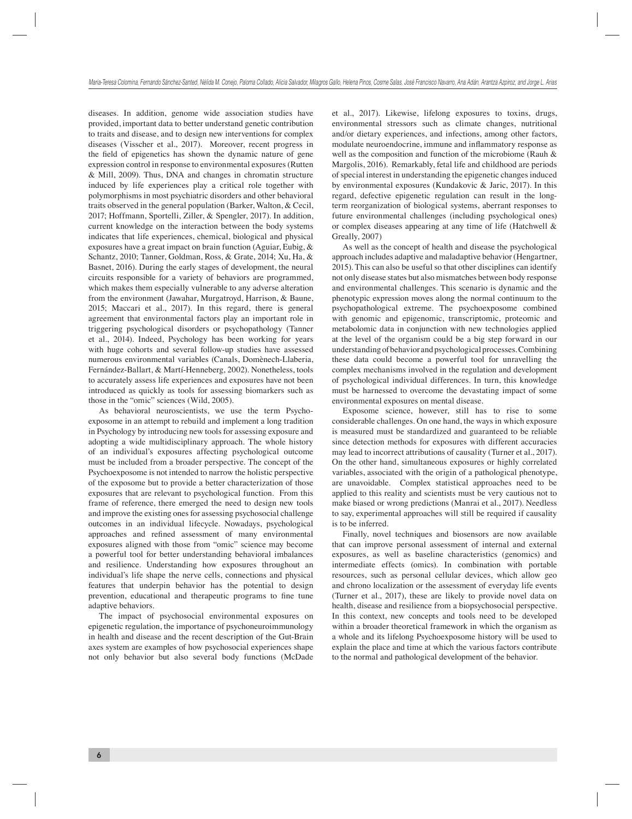diseases. In addition, genome wide association studies have provided, important data to better understand genetic contribution to traits and disease, and to design new interventions for complex diseases (Visscher et al., 2017). Moreover, recent progress in the field of epigenetics has shown the dynamic nature of gene expression control in response to environmental exposures (Rutten & Mill, 2009). Thus, DNA and changes in chromatin structure induced by life experiences play a critical role together with polymorphisms in most psychiatric disorders and other behavioral traits observed in the general population (Barker, Walton, & Cecil, 2017; Hoffmann, Sportelli, Ziller, & Spengler, 2017). In addition, current knowledge on the interaction between the body systems indicates that life experiences, chemical, biological and physical exposures have a great impact on brain function (Aguiar, Eubig, & Schantz, 2010; Tanner, Goldman, Ross, & Grate, 2014; Xu, Ha, & Basnet, 2016). During the early stages of development, the neural circuits responsible for a variety of behaviors are programmed, which makes them especially vulnerable to any adverse alteration from the environment (Jawahar, Murgatroyd, Harrison, & Baune, 2015; Maccari et al., 2017). In this regard, there is general agreement that environmental factors play an important role in triggering psychological disorders or psychopathology (Tanner et al., 2014). Indeed, Psychology has been working for years with huge cohorts and several follow-up studies have assessed numerous environmental variables (Canals, Domènech-Llaberia, Fernández-Ballart, & Martí-Henneberg, 2002). Nonetheless, tools to accurately assess life experiences and exposures have not been introduced as quickly as tools for assessing biomarkers such as those in the "omic" sciences (Wild, 2005).

As behavioral neuroscientists, we use the term Psychoexposome in an attempt to rebuild and implement a long tradition in Psychology by introducing new tools for assessing exposure and adopting a wide multidisciplinary approach. The whole history of an individual's exposures affecting psychological outcome must be included from a broader perspective. The concept of the Psychoexposome is not intended to narrow the holistic perspective of the exposome but to provide a better characterization of those exposures that are relevant to psychological function. From this frame of reference, there emerged the need to design new tools and improve the existing ones for assessing psychosocial challenge outcomes in an individual lifecycle. Nowadays, psychological approaches and refined assessment of many environmental exposures aligned with those from "omic" science may become a powerful tool for better understanding behavioral imbalances and resilience. Understanding how exposures throughout an individual's life shape the nerve cells, connections and physical features that underpin behavior has the potential to design prevention, educational and therapeutic programs to fine tune adaptive behaviors.

The impact of psychosocial environmental exposures on epigenetic regulation, the importance of psychoneuroimmunology in health and disease and the recent description of the Gut-Brain axes system are examples of how psychosocial experiences shape not only behavior but also several body functions (McDade et al., 2017). Likewise, lifelong exposures to toxins, drugs, environmental stressors such as climate changes, nutritional and/or dietary experiences, and infections, among other factors, modulate neuroendocrine, immune and inflammatory response as well as the composition and function of the microbiome (Rauh & Margolis, 2016). Remarkably, fetal life and childhood are periods of special interest in understanding the epigenetic changes induced by environmental exposures (Kundakovic & Jaric, 2017). In this regard, defective epigenetic regulation can result in the longterm reorganization of biological systems, aberrant responses to future environmental challenges (including psychological ones) or complex diseases appearing at any time of life (Hatchwell & Greally, 2007)

As well as the concept of health and disease the psychological approach includes adaptive and maladaptive behavior (Hengartner, 2015). This can also be useful so that other disciplines can identify not only disease states but also mismatches between body response and environmental challenges. This scenario is dynamic and the phenotypic expression moves along the normal continuum to the psychopathological extreme. The psychoexposome combined with genomic and epigenomic, transcriptomic, proteomic and metabolomic data in conjunction with new technologies applied at the level of the organism could be a big step forward in our understanding of behavior and psychological processes. Combining these data could become a powerful tool for unravelling the complex mechanisms involved in the regulation and development of psychological individual differences. In turn, this knowledge must be harnessed to overcome the devastating impact of some environmental exposures on mental disease.

Exposome science, however, still has to rise to some considerable challenges. On one hand, the ways in which exposure is measured must be standardized and guaranteed to be reliable since detection methods for exposures with different accuracies may lead to incorrect attributions of causality (Turner et al., 2017). On the other hand, simultaneous exposures or highly correlated variables, associated with the origin of a pathological phenotype, are unavoidable. Complex statistical approaches need to be applied to this reality and scientists must be very cautious not to make biased or wrong predictions (Manrai et al., 2017). Needless to say, experimental approaches will still be required if causality is to be inferred.

Finally, novel techniques and biosensors are now available that can improve personal assessment of internal and external exposures, as well as baseline characteristics (genomics) and intermediate effects (omics). In combination with portable resources, such as personal cellular devices, which allow geo and chrono localization or the assessment of everyday life events (Turner et al., 2017), these are likely to provide novel data on health, disease and resilience from a biopsychosocial perspective. In this context, new concepts and tools need to be developed within a broader theoretical framework in which the organism as a whole and its lifelong Psychoexposome history will be used to explain the place and time at which the various factors contribute to the normal and pathological development of the behavior.